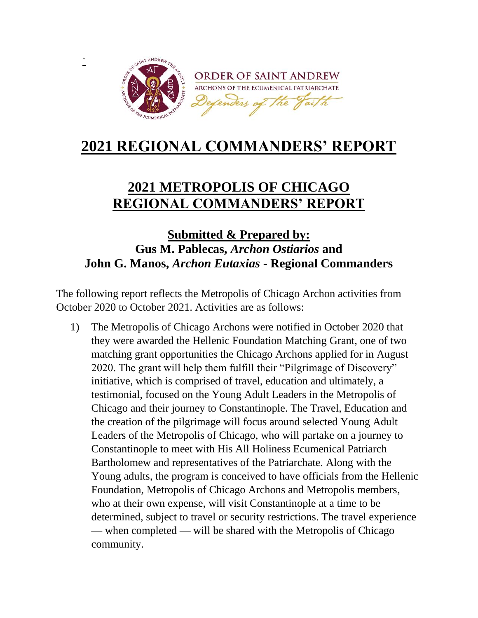

**`**

## **2021 REGIONAL COMMANDERS' REPORT**

## **2021 METROPOLIS OF CHICAGO REGIONAL COMMANDERS' REPORT**

## **Submitted & Prepared by: Gus M. Pablecas,** *Archon Ostiarios* **and John G. Manos,** *Archon Eutaxias* **- Regional Commanders**

The following report reflects the Metropolis of Chicago Archon activities from October 2020 to October 2021. Activities are as follows:

1) The Metropolis of Chicago Archons were notified in October 2020 that they were awarded the Hellenic Foundation Matching Grant, one of two matching grant opportunities the Chicago Archons applied for in August 2020. The grant will help them fulfill their "Pilgrimage of Discovery" initiative, which is comprised of travel, education and ultimately, a testimonial, focused on the Young Adult Leaders in the Metropolis of Chicago and their journey to Constantinople. The Travel, Education and the creation of the pilgrimage will focus around selected Young Adult Leaders of the Metropolis of Chicago, who will partake on a journey to Constantinople to meet with His All Holiness Ecumenical Patriarch Bartholomew and representatives of the Patriarchate. Along with the Young adults, the program is conceived to have officials from the Hellenic Foundation, Metropolis of Chicago Archons and Metropolis members, who at their own expense, will visit Constantinople at a time to be determined, subject to travel or security restrictions. The travel experience — when completed — will be shared with the Metropolis of Chicago community.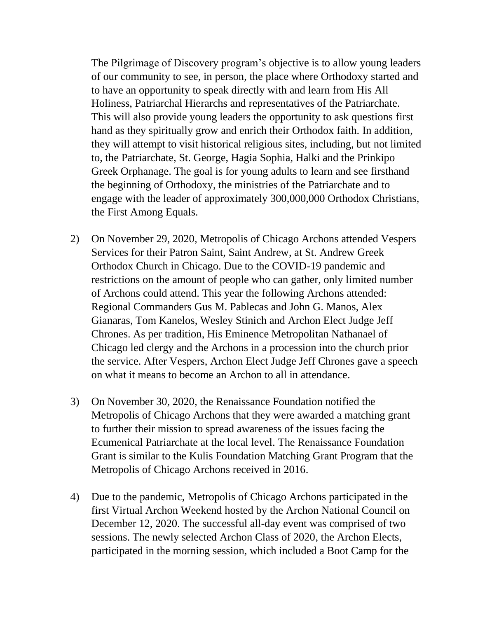The Pilgrimage of Discovery program's objective is to allow young leaders of our community to see, in person, the place where Orthodoxy started and to have an opportunity to speak directly with and learn from His All Holiness, Patriarchal Hierarchs and representatives of the Patriarchate. This will also provide young leaders the opportunity to ask questions first hand as they spiritually grow and enrich their Orthodox faith. In addition, they will attempt to visit historical religious sites, including, but not limited to, the Patriarchate, St. George, Hagia Sophia, Halki and the Prinkipo Greek Orphanage. The goal is for young adults to learn and see firsthand the beginning of Orthodoxy, the ministries of the Patriarchate and to engage with the leader of approximately 300,000,000 Orthodox Christians, the First Among Equals.

- 2) On November 29, 2020, Metropolis of Chicago Archons attended Vespers Services for their Patron Saint, Saint Andrew, at St. Andrew Greek Orthodox Church in Chicago. Due to the COVID-19 pandemic and restrictions on the amount of people who can gather, only limited number of Archons could attend. This year the following Archons attended: Regional Commanders Gus M. Pablecas and John G. Manos, Alex Gianaras, Tom Kanelos, Wesley Stinich and Archon Elect Judge Jeff Chrones. As per tradition, His Eminence Metropolitan Nathanael of Chicago led clergy and the Archons in a procession into the church prior the service. After Vespers, Archon Elect Judge Jeff Chrones gave a speech on what it means to become an Archon to all in attendance.
- 3) On November 30, 2020, the Renaissance Foundation notified the Metropolis of Chicago Archons that they were awarded a matching grant to further their mission to spread awareness of the issues facing the Ecumenical Patriarchate at the local level. The Renaissance Foundation Grant is similar to the Kulis Foundation Matching Grant Program that the Metropolis of Chicago Archons received in 2016.
- 4) Due to the pandemic, Metropolis of Chicago Archons participated in the first Virtual Archon Weekend hosted by the Archon National Council on December 12, 2020. The successful all-day event was comprised of two sessions. The newly selected Archon Class of 2020, the Archon Elects, participated in the morning session, which included a Boot Camp for the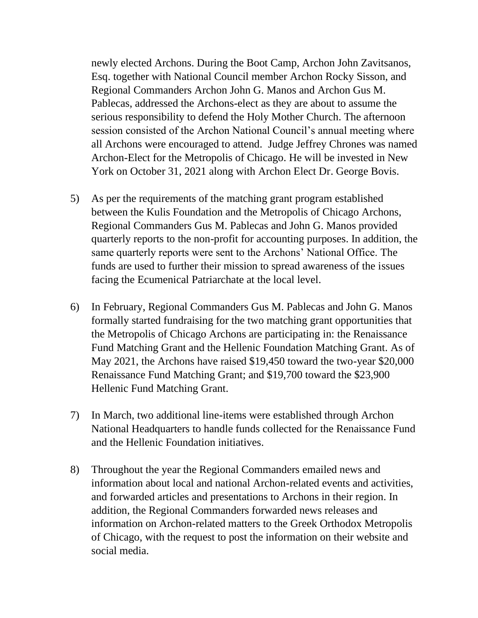newly elected Archons. During the Boot Camp, Archon John Zavitsanos, Esq. together with National Council member Archon Rocky Sisson, and Regional Commanders Archon John G. Manos and Archon Gus M. Pablecas, addressed the Archons-elect as they are about to assume the serious responsibility to defend the Holy Mother Church. The afternoon session consisted of the Archon National Council's annual meeting where all Archons were encouraged to attend. Judge Jeffrey Chrones was named Archon-Elect for the Metropolis of Chicago. He will be invested in New York on October 31, 2021 along with Archon Elect Dr. George Bovis.

- 5) As per the requirements of the matching grant program established between the Kulis Foundation and the Metropolis of Chicago Archons, Regional Commanders Gus M. Pablecas and John G. Manos provided quarterly reports to the non-profit for accounting purposes. In addition, the same quarterly reports were sent to the Archons' National Office. The funds are used to further their mission to spread awareness of the issues facing the Ecumenical Patriarchate at the local level.
- 6) In February, Regional Commanders Gus M. Pablecas and John G. Manos formally started fundraising for the two matching grant opportunities that the Metropolis of Chicago Archons are participating in: the Renaissance Fund Matching Grant and the Hellenic Foundation Matching Grant. As of May 2021, the Archons have raised \$19,450 toward the two-year \$20,000 Renaissance Fund Matching Grant; and \$19,700 toward the \$23,900 Hellenic Fund Matching Grant.
- 7) In March, two additional line-items were established through Archon National Headquarters to handle funds collected for the Renaissance Fund and the Hellenic Foundation initiatives.
- 8) Throughout the year the Regional Commanders emailed news and information about local and national Archon-related events and activities, and forwarded articles and presentations to Archons in their region. In addition, the Regional Commanders forwarded news releases and information on Archon-related matters to the Greek Orthodox Metropolis of Chicago, with the request to post the information on their website and social media.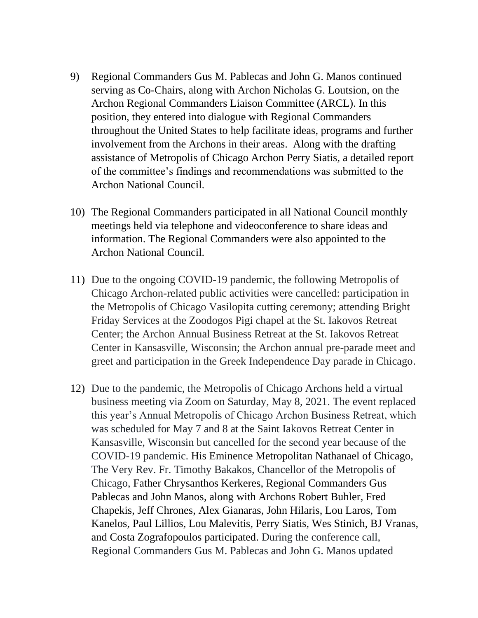- 9) Regional Commanders Gus M. Pablecas and John G. Manos continued serving as Co-Chairs, along with Archon Nicholas G. Loutsion, on the Archon Regional Commanders Liaison Committee (ARCL). In this position, they entered into dialogue with Regional Commanders throughout the United States to help facilitate ideas, programs and further involvement from the Archons in their areas. Along with the drafting assistance of Metropolis of Chicago Archon Perry Siatis, a detailed report of the committee's findings and recommendations was submitted to the Archon National Council.
- 10) The Regional Commanders participated in all National Council monthly meetings held via telephone and videoconference to share ideas and information. The Regional Commanders were also appointed to the Archon National Council.
- 11) Due to the ongoing COVID-19 pandemic, the following Metropolis of Chicago Archon-related public activities were cancelled: participation in the Metropolis of Chicago Vasilopita cutting ceremony; attending Bright Friday Services at the Zoodogos Pigi chapel at the St. Iakovos Retreat Center; the Archon Annual Business Retreat at the St. Iakovos Retreat Center in Kansasville, Wisconsin; the Archon annual pre-parade meet and greet and participation in the Greek Independence Day parade in Chicago.
- 12) Due to the pandemic, the Metropolis of Chicago Archons held a virtual business meeting via Zoom on Saturday, May 8, 2021. The event replaced this year's Annual Metropolis of Chicago Archon Business Retreat, which was scheduled for May 7 and 8 at the Saint Iakovos Retreat Center in Kansasville, Wisconsin but cancelled for the second year because of the COVID-19 pandemic. His Eminence Metropolitan Nathanael of Chicago, The Very Rev. Fr. Timothy Bakakos, Chancellor of the Metropolis of Chicago, Father Chrysanthos Kerkeres, Regional Commanders Gus Pablecas and John Manos, along with Archons Robert Buhler, Fred Chapekis, Jeff Chrones, Alex Gianaras, John Hilaris, Lou Laros, Tom Kanelos, Paul Lillios, Lou Malevitis, Perry Siatis, Wes Stinich, BJ Vranas, and Costa Zografopoulos participated. During the conference call, Regional Commanders Gus M. Pablecas and John G. Manos updated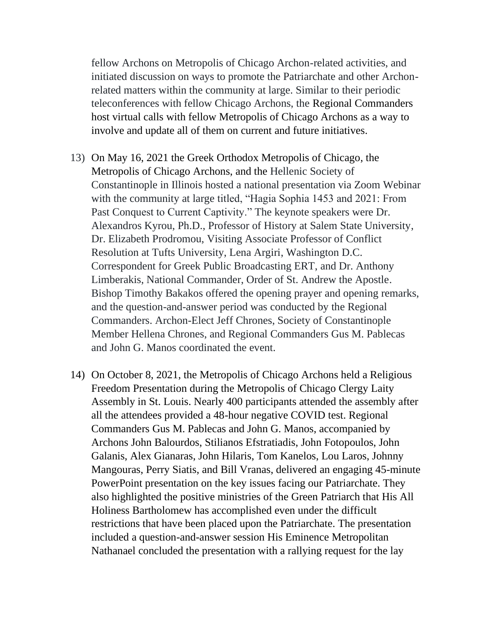fellow Archons on Metropolis of Chicago Archon-related activities, and initiated discussion on ways to promote the Patriarchate and other Archonrelated matters within the community at large. Similar to their periodic teleconferences with fellow Chicago Archons, the Regional Commanders host virtual calls with fellow Metropolis of Chicago Archons as a way to involve and update all of them on current and future initiatives.

- 13) On May 16, 2021 the Greek Orthodox Metropolis of Chicago, the Metropolis of Chicago Archons, and the Hellenic Society of Constantinople in Illinois hosted a national presentation via Zoom Webinar with the community at large titled, "Hagia Sophia 1453 and 2021: From Past Conquest to Current Captivity." The keynote speakers were Dr. Alexandros Kyrou, Ph.D., Professor of History at Salem State University, Dr. Elizabeth Prodromou, Visiting Associate Professor of Conflict Resolution at Tufts University, Lena Argiri, Washington D.C. Correspondent for Greek Public Broadcasting ERT, and Dr. Anthony Limberakis, National Commander, Order of St. Andrew the Apostle. Bishop Timothy Bakakos offered the opening prayer and opening remarks, and the question-and-answer period was conducted by the Regional Commanders. Archon-Elect Jeff Chrones, Society of Constantinople Member Hellena Chrones, and Regional Commanders Gus M. Pablecas and John G. Manos coordinated the event.
- 14) On October 8, 2021, the Metropolis of Chicago Archons held a Religious Freedom Presentation during the Metropolis of Chicago Clergy Laity Assembly in St. Louis. Nearly 400 participants attended the assembly after all the attendees provided a 48-hour negative COVID test. Regional Commanders Gus M. Pablecas and John G. Manos, accompanied by Archons John Balourdos, Stilianos Efstratiadis, John Fotopoulos, John Galanis, Alex Gianaras, John Hilaris, Tom Kanelos, Lou Laros, Johnny Mangouras, Perry Siatis, and Bill Vranas, delivered an engaging 45-minute PowerPoint presentation on the key issues facing our Patriarchate. They also highlighted the positive ministries of the Green Patriarch that His All Holiness Bartholomew has accomplished even under the difficult restrictions that have been placed upon the Patriarchate. The presentation included a question-and-answer session His Eminence Metropolitan Nathanael concluded the presentation with a rallying request for the lay